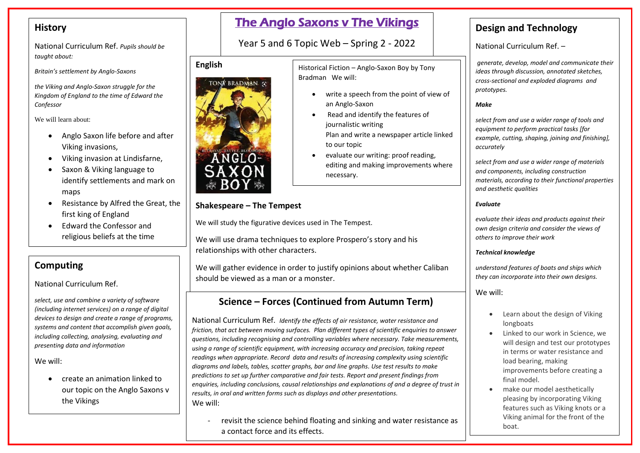## **History**

National Curriculum Ref. *Pupils should be taught about:*

*Britain's settlement by Anglo-Saxons* 

*the Viking and Anglo-Saxon struggle for the Kingdom of England to the time of Edward the Confessor*

We will learn about:

- Anglo Saxon life before and after Viking invasions,
- Viking invasion at Lindisfarne,
- Saxon & Viking language to identify settlements and mark on maps
- Resistance by Alfred the Great, the first king of England
- Edward the Confessor and religious beliefs at the time

## **Computing**

National Curriculum Ref.

*select, use and combine a variety of software (including internet services) on a range of digital devices to design and create a range of programs, systems and content that accomplish given goals, including collecting, analysing, evaluating and presenting data and information*

We will:

 create an animation linked to our topic on the Anglo Saxons v the Vikings

# The Anglo Saxons v The Vikings

Year 5 and 6 Topic Web – Spring 2 - 2022

Bradman We will:

Historical Fiction – Anglo-Saxon Boy by Tony

• Read and identify the features of

evaluate our writing: proof reading,

an Anglo-Saxon

to our topic

necessary.

journalistic writing

write a speech from the point of view of

Plan and write a newspaper article linked

editing and making improvements where

### **English**



### **Shakespeare – The Tempest**

We will study the figurative devices used in The Tempest.

We will use drama techniques to explore Prospero's story and his relationships with other characters.

We will gather evidence in order to justify opinions about whether Caliban should be viewed as a man or a monster.

# **Science – Forces (Continued from Autumn Term)**

National Curriculum Ref. *Identify the effects of air resistance, water resistance and friction, that act between moving surfaces. Plan different types of scientific enquiries to answer questions, including recognising and controlling variables where necessary. Take measurements, using a range of scientific equipment, with increasing accuracy and precision, taking repeat readings when appropriate. Record data and results of increasing complexity using scientific diagrams and labels, tables, scatter graphs, bar and line graphs. Use test results to make predictions to set up further comparative and fair tests. Report and present findings from enquiries, including conclusions, causal relationships and explanations of and a degree of trust in results, in oral and written forms such as displays and other presentations.* We will:

- revisit the science behind floating and sinking and water resistance as a contact force and its effects.

# **Design and Technology**

National Curriculum Ref. –

*generate, develop, model and communicate their ideas through discussion, annotated sketches, cross-sectional and exploded diagrams and prototypes.*

#### *Make*

*select from and use a wider range of tools and equipment to perform practical tasks [for example, cutting, shaping, joining and finishing], accurately*

*select from and use a wider range of materials and components, including construction materials, according to their functional properties and aesthetic qualities*

#### *Evaluate*

*evaluate their ideas and products against their own design criteria and consider the views of others to improve their work*

#### *Technical knowledge*

*understand features of boats and ships which they can incorporate into their own designs.*

We will:

- Learn about the design of Viking longboats
- Linked to our work in Science, we will design and test our prototypes in terms or water resistance and load bearing, making improvements before creating a final model.
- make our model aesthetically pleasing by incorporating Viking features such as Viking knots or a Viking animal for the front of the boat.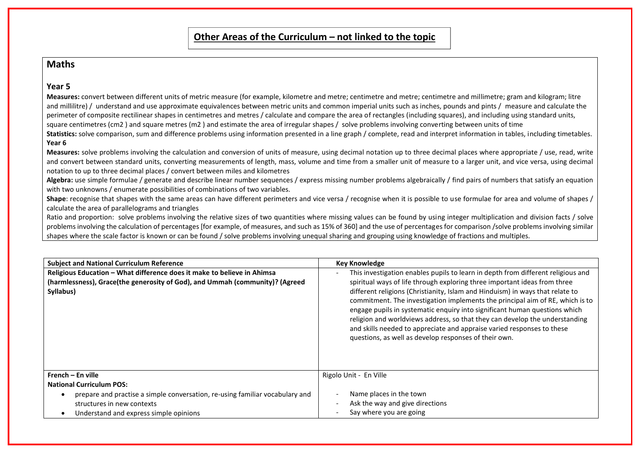### **Maths**

#### **Year 5**

| Other Areas of the Curriculum $-$ not linked to the topic                                                                                                                                                                                                                                                                                                                                                                                                                                                                                                                                                                                                                                                                                                                                                                                                                                                                                                                                                                                                                                                                                                                                                                                                                                                                                                                                                                                                                                                                                                                                                                                                                                                                                                                                                                                                                                                                                                                                                                                                                                                                                                                                                                                                                                                                                                                                              |                                                                                                                                                                                                                                                                                                                                                                                                                                                                                                                                                                                                                                 |  |
|--------------------------------------------------------------------------------------------------------------------------------------------------------------------------------------------------------------------------------------------------------------------------------------------------------------------------------------------------------------------------------------------------------------------------------------------------------------------------------------------------------------------------------------------------------------------------------------------------------------------------------------------------------------------------------------------------------------------------------------------------------------------------------------------------------------------------------------------------------------------------------------------------------------------------------------------------------------------------------------------------------------------------------------------------------------------------------------------------------------------------------------------------------------------------------------------------------------------------------------------------------------------------------------------------------------------------------------------------------------------------------------------------------------------------------------------------------------------------------------------------------------------------------------------------------------------------------------------------------------------------------------------------------------------------------------------------------------------------------------------------------------------------------------------------------------------------------------------------------------------------------------------------------------------------------------------------------------------------------------------------------------------------------------------------------------------------------------------------------------------------------------------------------------------------------------------------------------------------------------------------------------------------------------------------------------------------------------------------------------------------------------------------------|---------------------------------------------------------------------------------------------------------------------------------------------------------------------------------------------------------------------------------------------------------------------------------------------------------------------------------------------------------------------------------------------------------------------------------------------------------------------------------------------------------------------------------------------------------------------------------------------------------------------------------|--|
| <b>Maths</b>                                                                                                                                                                                                                                                                                                                                                                                                                                                                                                                                                                                                                                                                                                                                                                                                                                                                                                                                                                                                                                                                                                                                                                                                                                                                                                                                                                                                                                                                                                                                                                                                                                                                                                                                                                                                                                                                                                                                                                                                                                                                                                                                                                                                                                                                                                                                                                                           |                                                                                                                                                                                                                                                                                                                                                                                                                                                                                                                                                                                                                                 |  |
| Year 5<br>Measures: convert between different units of metric measure (for example, kilometre and metre; centimetre and metre; centimetre and millimetre; gram and kilogram; litre<br>and millilitre) / understand and use approximate equivalences between metric units and common imperial units such as inches, pounds and pints / measure and calculate the<br>perimeter of composite rectilinear shapes in centimetres and metres / calculate and compare the area of rectangles (including squares), and including using standard units,<br>square centimetres (cm2) and square metres (m2) and estimate the area of irregular shapes / solve problems involving converting between units of time<br>Statistics: solve comparison, sum and difference problems using information presented in a line graph / complete, read and interpret information in tables, including timetables.<br>Year 6<br>Measures: solve problems involving the calculation and conversion of units of measure, using decimal notation up to three decimal places where appropriate / use, read, write<br>and convert between standard units, converting measurements of length, mass, volume and time from a smaller unit of measure to a larger unit, and vice versa, using decimal<br>notation to up to three decimal places / convert between miles and kilometres<br>Algebra: use simple formulae / generate and describe linear number sequences / express missing number problems algebraically / find pairs of numbers that satisfy an equation<br>with two unknowns / enumerate possibilities of combinations of two variables.<br>Shape: recognise that shapes with the same areas can have different perimeters and vice versa / recognise when it is possible to use formulae for area and volume of shapes /<br>calculate the area of parallelograms and triangles<br>Ratio and proportion: solve problems involving the relative sizes of two quantities where missing values can be found by using integer multiplication and division facts / solve<br>problems involving the calculation of percentages [for example, of measures, and such as 15% of 360] and the use of percentages for comparison /solve problems involving similar<br>shapes where the scale factor is known or can be found / solve problems involving unequal sharing and grouping using knowledge of fractions and multiples. |                                                                                                                                                                                                                                                                                                                                                                                                                                                                                                                                                                                                                                 |  |
| <b>Subject and National Curriculum Reference</b>                                                                                                                                                                                                                                                                                                                                                                                                                                                                                                                                                                                                                                                                                                                                                                                                                                                                                                                                                                                                                                                                                                                                                                                                                                                                                                                                                                                                                                                                                                                                                                                                                                                                                                                                                                                                                                                                                                                                                                                                                                                                                                                                                                                                                                                                                                                                                       | <b>Key Knowledge</b>                                                                                                                                                                                                                                                                                                                                                                                                                                                                                                                                                                                                            |  |
| Religious Education - What difference does it make to believe in Ahimsa<br>(harmlessness), Grace(the generosity of God), and Ummah (community)? (Agreed<br>Syllabus)                                                                                                                                                                                                                                                                                                                                                                                                                                                                                                                                                                                                                                                                                                                                                                                                                                                                                                                                                                                                                                                                                                                                                                                                                                                                                                                                                                                                                                                                                                                                                                                                                                                                                                                                                                                                                                                                                                                                                                                                                                                                                                                                                                                                                                   | This investigation enables pupils to learn in depth from different religious and<br>spiritual ways of life through exploring three important ideas from three<br>different religions (Christianity, Islam and Hinduism) in ways that relate to<br>commitment. The investigation implements the principal aim of RE, which is to<br>engage pupils in systematic enquiry into significant human questions which<br>religion and worldviews address, so that they can develop the understanding<br>and skills needed to appreciate and appraise varied responses to these<br>questions, as well as develop responses of their own. |  |
| French - En ville<br><b>National Curriculum POS:</b><br>prepare and practise a simple conversation, re-using familiar vocabulary and<br>structures in new contexts<br>Understand and express simple opinions<br>$\bullet$                                                                                                                                                                                                                                                                                                                                                                                                                                                                                                                                                                                                                                                                                                                                                                                                                                                                                                                                                                                                                                                                                                                                                                                                                                                                                                                                                                                                                                                                                                                                                                                                                                                                                                                                                                                                                                                                                                                                                                                                                                                                                                                                                                              | Rigolo Unit - En Ville<br>Name places in the town<br>Ask the way and give directions<br>Say where you are going                                                                                                                                                                                                                                                                                                                                                                                                                                                                                                                 |  |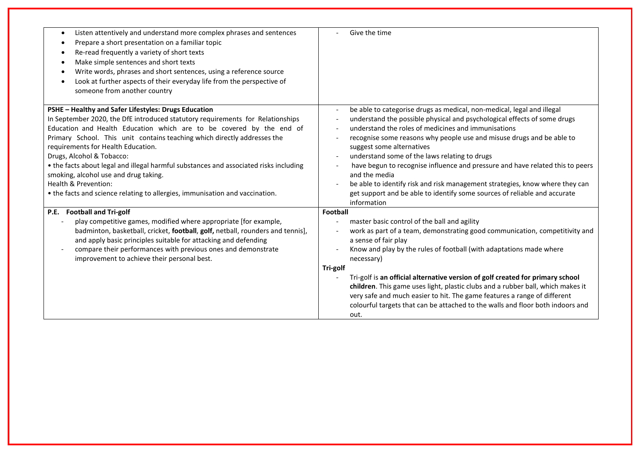| Listen attentively and understand more complex phrases and sentences<br>$\bullet$<br>Prepare a short presentation on a familiar topic<br>$\bullet$<br>Re-read frequently a variety of short texts | Give the time                                                                                           |
|---------------------------------------------------------------------------------------------------------------------------------------------------------------------------------------------------|---------------------------------------------------------------------------------------------------------|
| Make simple sentences and short texts<br>$\bullet$                                                                                                                                                |                                                                                                         |
| Write words, phrases and short sentences, using a reference source                                                                                                                                |                                                                                                         |
| Look at further aspects of their everyday life from the perspective of<br>$\bullet$                                                                                                               |                                                                                                         |
| someone from another country                                                                                                                                                                      |                                                                                                         |
| PSHE - Healthy and Safer Lifestyles: Drugs Education                                                                                                                                              | be able to categorise drugs as medical, non-medical, legal and illegal<br>$\blacksquare$                |
| In September 2020, the DfE introduced statutory requirements for Relationships                                                                                                                    | understand the possible physical and psychological effects of some drugs                                |
| Education and Health Education which are to be covered by the end of                                                                                                                              | understand the roles of medicines and immunisations                                                     |
| Primary School. This unit contains teaching which directly addresses the                                                                                                                          | recognise some reasons why people use and misuse drugs and be able to                                   |
| requirements for Health Education.                                                                                                                                                                | suggest some alternatives                                                                               |
| Drugs, Alcohol & Tobacco:                                                                                                                                                                         | understand some of the laws relating to drugs                                                           |
| • the facts about legal and illegal harmful substances and associated risks including<br>smoking, alcohol use and drug taking.                                                                    | have begun to recognise influence and pressure and have related this to peers<br>and the media          |
| Health & Prevention:                                                                                                                                                                              | be able to identify risk and risk management strategies, know where they can                            |
| • the facts and science relating to allergies, immunisation and vaccination.                                                                                                                      | get support and be able to identify some sources of reliable and accurate                               |
|                                                                                                                                                                                                   | information                                                                                             |
| P.E. Football and Tri-golf                                                                                                                                                                        | Football                                                                                                |
| play competitive games, modified where appropriate [for example,                                                                                                                                  | master basic control of the ball and agility                                                            |
| badminton, basketball, cricket, football, golf, netball, rounders and tennis],                                                                                                                    | work as part of a team, demonstrating good communication, competitivity and<br>$\overline{\phantom{a}}$ |
| and apply basic principles suitable for attacking and defending                                                                                                                                   | a sense of fair play                                                                                    |
| compare their performances with previous ones and demonstrate                                                                                                                                     | Know and play by the rules of football (with adaptations made where                                     |
| improvement to achieve their personal best.                                                                                                                                                       | necessary)                                                                                              |
|                                                                                                                                                                                                   | Tri-golf                                                                                                |
|                                                                                                                                                                                                   | Tri-golf is an official alternative version of golf created for primary school                          |
|                                                                                                                                                                                                   | children. This game uses light, plastic clubs and a rubber ball, which makes it                         |
|                                                                                                                                                                                                   | very safe and much easier to hit. The game features a range of different                                |
|                                                                                                                                                                                                   | colourful targets that can be attached to the walls and floor both indoors and                          |
|                                                                                                                                                                                                   | out.                                                                                                    |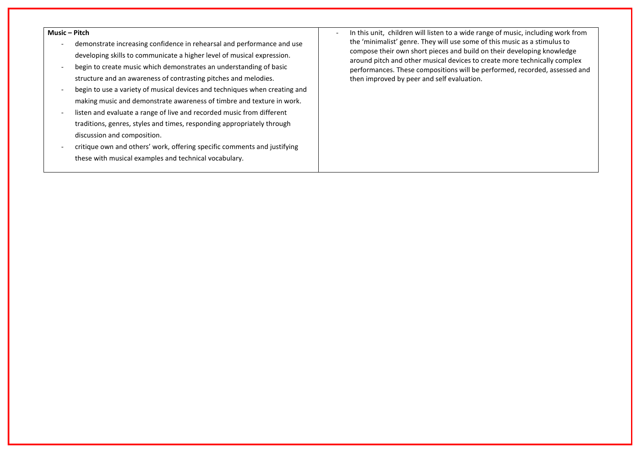#### **Music – Pitch**

- demonstrate increasing confidence in rehearsal and performance and use developing skills to communicate a higher level of musical expression.
- begin to create music which demonstrates an understanding of basic structure and an awareness of contrasting pitches and melodies.
- begin to use a variety of musical devices and techniques when creating and making music and demonstrate awareness of timbre and texture in work.
- listen and evaluate a range of live and recorded music from different traditions, genres, styles and times, responding appropriately through discussion and composition.
- critique own and others' work, offering specific comments and justifying these with musical examples and technical vocabulary.

- In this unit, children will listen to a wide range of music, including work from the 'minimalist' genre. They will use some of this music as a stimulus to compose their own short pieces and build on their developing knowledge around pitch and other musical devices to create more technically complex performances. These compositions will be performed, recorded, assessed and then improved by peer and self evaluation.